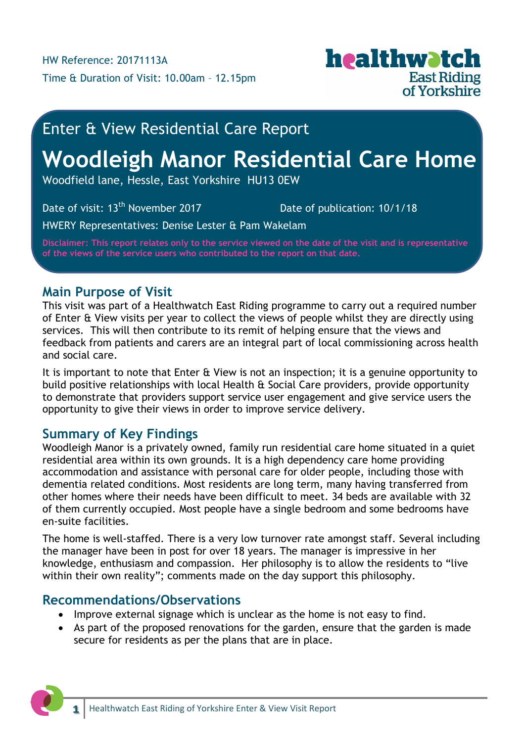

# Enter & View Residential Care Report

# **Woodleigh Manor Residential Care Home**

Woodfield lane, Hessle, East Yorkshire HU13 0EW

Date of visit: 13<sup>th</sup> November 2017 Date of publication: 10/1/18

HWERY Representatives: Denise Lester & Pam Wakelam

**Disclaimer: This report relates only to the service viewed on the date of the visit and is representative of the views of the service users who contributed to the report on that date.**

### **Main Purpose of Visit**

This visit was part of a Healthwatch East Riding programme to carry out a required number of Enter & View visits per year to collect the views of people whilst they are directly using services. This will then contribute to its remit of helping ensure that the views and feedback from patients and carers are an integral part of local commissioning across health and social care.

It is important to note that Enter & View is not an inspection; it is a genuine opportunity to build positive relationships with local Health & Social Care providers, provide opportunity to demonstrate that providers support service user engagement and give service users the opportunity to give their views in order to improve service delivery.

## **Summary of Key Findings**

Woodleigh Manor is a privately owned, family run residential care home situated in a quiet residential area within its own grounds. It is a high dependency care home providing accommodation and assistance with personal care for older people, including those with dementia related conditions. Most residents are long term, many having transferred from other homes where their needs have been difficult to meet. 34 beds are available with 32 of them currently occupied. Most people have a single bedroom and some bedrooms have en-suite facilities.

The home is well-staffed. There is a very low turnover rate amongst staff. Several including the manager have been in post for over 18 years. The manager is impressive in her knowledge, enthusiasm and compassion. Her philosophy is to allow the residents to "live within their own reality"; comments made on the day support this philosophy.

## **Recommendations/Observations**

- Improve external signage which is unclear as the home is not easy to find.
- As part of the proposed renovations for the garden, ensure that the garden is made secure for residents as per the plans that are in place.

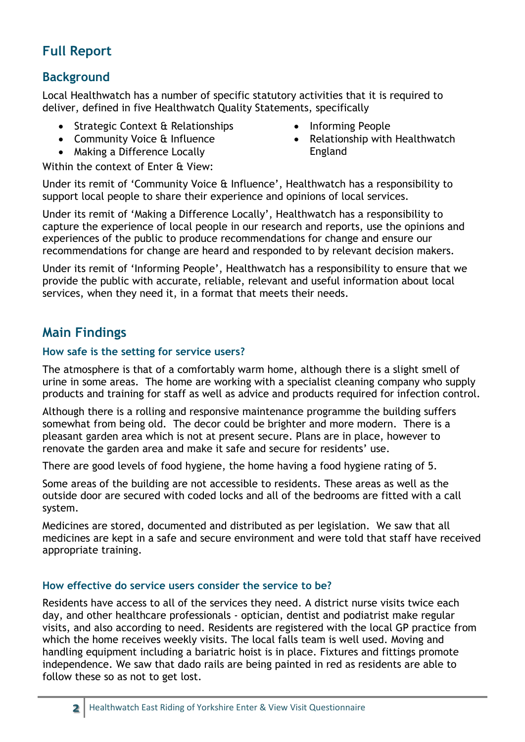## **Full Report**

## **Background**

Local Healthwatch has a number of specific statutory activities that it is required to deliver, defined in five Healthwatch Quality Statements, specifically

- Strategic Context & Relationships
- Community Voice & Influence
- Making a Difference Locally

Within the context of Enter & View:

- Informing People
- Relationship with Healthwatch England

Under its remit of 'Community Voice & Influence', Healthwatch has a responsibility to support local people to share their experience and opinions of local services.

Under its remit of 'Making a Difference Locally', Healthwatch has a responsibility to capture the experience of local people in our research and reports, use the opinions and experiences of the public to produce recommendations for change and ensure our recommendations for change are heard and responded to by relevant decision makers.

Under its remit of 'Informing People', Healthwatch has a responsibility to ensure that we provide the public with accurate, reliable, relevant and useful information about local services, when they need it, in a format that meets their needs.

## **Main Findings**

#### **How safe is the setting for service users?**

The atmosphere is that of a comfortably warm home, although there is a slight smell of urine in some areas. The home are working with a specialist cleaning company who supply products and training for staff as well as advice and products required for infection control.

Although there is a rolling and responsive maintenance programme the building suffers somewhat from being old. The decor could be brighter and more modern. There is a pleasant garden area which is not at present secure. Plans are in place, however to renovate the garden area and make it safe and secure for residents' use.

There are good levels of food hygiene, the home having a food hygiene rating of 5.

Some areas of the building are not accessible to residents. These areas as well as the outside door are secured with coded locks and all of the bedrooms are fitted with a call system.

Medicines are stored, documented and distributed as per legislation. We saw that all medicines are kept in a safe and secure environment and were told that staff have received appropriate training.

#### **How effective do service users consider the service to be?**

Residents have access to all of the services they need. A district nurse visits twice each day, and other healthcare professionals - optician, dentist and podiatrist make regular visits, and also according to need. Residents are registered with the local GP practice from which the home receives weekly visits. The local falls team is well used. Moving and handling equipment including a bariatric hoist is in place. Fixtures and fittings promote independence. We saw that dado rails are being painted in red as residents are able to follow these so as not to get lost.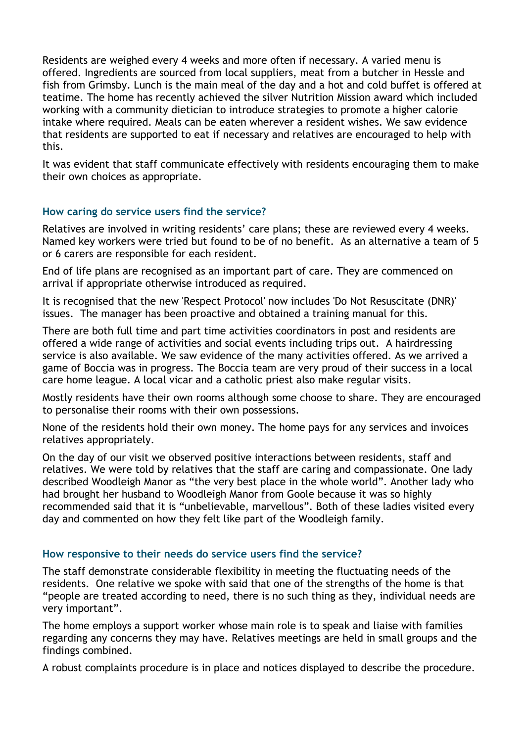Residents are weighed every 4 weeks and more often if necessary. A varied menu is offered. Ingredients are sourced from local suppliers, meat from a butcher in Hessle and fish from Grimsby. Lunch is the main meal of the day and a hot and cold buffet is offered at teatime. The home has recently achieved the silver Nutrition Mission award which included working with a community dietician to introduce strategies to promote a higher calorie intake where required. Meals can be eaten wherever a resident wishes. We saw evidence that residents are supported to eat if necessary and relatives are encouraged to help with this.

It was evident that staff communicate effectively with residents encouraging them to make their own choices as appropriate.

#### **How caring do service users find the service?**

Relatives are involved in writing residents' care plans; these are reviewed every 4 weeks. Named key workers were tried but found to be of no benefit. As an alternative a team of 5 or 6 carers are responsible for each resident.

End of life plans are recognised as an important part of care. They are commenced on arrival if appropriate otherwise introduced as required.

It is recognised that the new 'Respect Protocol' now includes 'Do Not Resuscitate (DNR)' issues. The manager has been proactive and obtained a training manual for this.

There are both full time and part time activities coordinators in post and residents are offered a wide range of activities and social events including trips out. A hairdressing service is also available. We saw evidence of the many activities offered. As we arrived a game of Boccia was in progress. The Boccia team are very proud of their success in a local care home league. A local vicar and a catholic priest also make regular visits.

Mostly residents have their own rooms although some choose to share. They are encouraged to personalise their rooms with their own possessions.

None of the residents hold their own money. The home pays for any services and invoices relatives appropriately.

On the day of our visit we observed positive interactions between residents, staff and relatives. We were told by relatives that the staff are caring and compassionate. One lady described Woodleigh Manor as "the very best place in the whole world". Another lady who had brought her husband to Woodleigh Manor from Goole because it was so highly recommended said that it is "unbelievable, marvellous". Both of these ladies visited every day and commented on how they felt like part of the Woodleigh family.

#### **How responsive to their needs do service users find the service?**

The staff demonstrate considerable flexibility in meeting the fluctuating needs of the residents. One relative we spoke with said that one of the strengths of the home is that "people are treated according to need, there is no such thing as they, individual needs are very important".

The home employs a support worker whose main role is to speak and liaise with families regarding any concerns they may have. Relatives meetings are held in small groups and the findings combined.

A robust complaints procedure is in place and notices displayed to describe the procedure.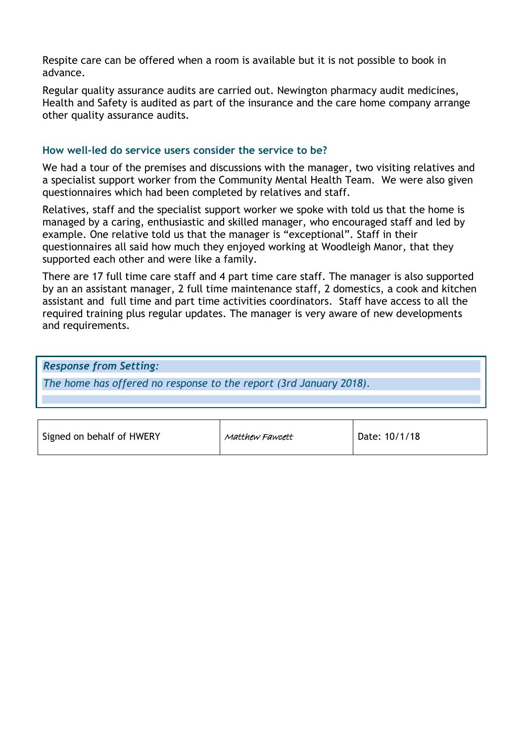Respite care can be offered when a room is available but it is not possible to book in advance.

Regular quality assurance audits are carried out. Newington pharmacy audit medicines, Health and Safety is audited as part of the insurance and the care home company arrange other quality assurance audits.

#### **How well-led do service users consider the service to be?**

We had a tour of the premises and discussions with the manager, two visiting relatives and a specialist support worker from the Community Mental Health Team. We were also given questionnaires which had been completed by relatives and staff.

Relatives, staff and the specialist support worker we spoke with told us that the home is managed by a caring, enthusiastic and skilled manager, who encouraged staff and led by example. One relative told us that the manager is "exceptional". Staff in their questionnaires all said how much they enjoyed working at Woodleigh Manor, that they supported each other and were like a family.

There are 17 full time care staff and 4 part time care staff. The manager is also supported by an an assistant manager, 2 full time maintenance staff, 2 domestics, a cook and kitchen assistant and full time and part time activities coordinators. Staff have access to all the required training plus regular updates. The manager is very aware of new developments and requirements.

*Response from Setting:*

*The home has offered no response to the report (3rd January 2018).*

| Signed on behalf of HWERY | Matthew Fawcett | Date: 10/1/18 |
|---------------------------|-----------------|---------------|
|---------------------------|-----------------|---------------|